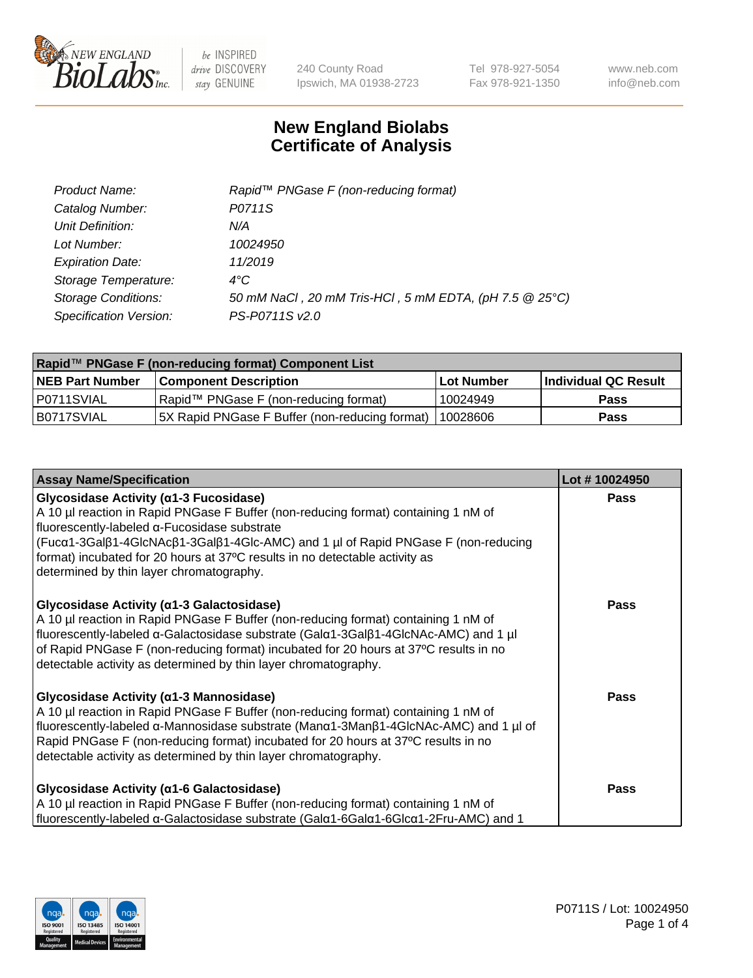

240 County Road Ipswich, MA 01938-2723 Tel 978-927-5054 Fax 978-921-1350 www.neb.com info@neb.com

## **New England Biolabs Certificate of Analysis**

| Product Name:              | Rapid™ PNGase F (non-reducing format)                  |
|----------------------------|--------------------------------------------------------|
| Catalog Number:            | P0711S                                                 |
| Unit Definition:           | N/A                                                    |
| Lot Number:                | 10024950                                               |
| <b>Expiration Date:</b>    | 11/2019                                                |
| Storage Temperature:       | $4^{\circ}$ C                                          |
| <b>Storage Conditions:</b> | 50 mM NaCl, 20 mM Tris-HCl, 5 mM EDTA, (pH 7.5 @ 25°C) |
| Specification Version:     | PS-P0711S v2.0                                         |

| Rapid™ PNGase F (non-reducing format) Component List |                                                 |                   |                      |  |
|------------------------------------------------------|-------------------------------------------------|-------------------|----------------------|--|
| <b>NEB Part Number</b>                               | <b>Component Description</b>                    | <b>Lot Number</b> | Individual QC Result |  |
| I P0711SVIAL                                         | Rapid™ PNGase F (non-reducing format)           | 10024949          | <b>Pass</b>          |  |
| IB0717SVIAL                                          | [5X Rapid PNGase F Buffer (non-reducing format) | 110028606         | <b>Pass</b>          |  |

| <b>Assay Name/Specification</b>                                                                                                                                                                                                                                                                                                                                                                     | Lot #10024950 |
|-----------------------------------------------------------------------------------------------------------------------------------------------------------------------------------------------------------------------------------------------------------------------------------------------------------------------------------------------------------------------------------------------------|---------------|
| <b>Glycosidase Activity (α1-3 Fucosidase)</b><br>A 10 µl reaction in Rapid PNGase F Buffer (non-reducing format) containing 1 nM of<br>fluorescently-labeled α-Fucosidase substrate<br>(Fucα1-3Galβ1-4GlcNAcβ1-3Galβ1-4Glc-AMC) and 1 µl of Rapid PNGase F (non-reducing<br>format) incubated for 20 hours at 37°C results in no detectable activity as<br>determined by thin layer chromatography. | <b>Pass</b>   |
| <b>Glycosidase Activity (α1-3 Galactosidase)</b><br>A 10 µl reaction in Rapid PNGase F Buffer (non-reducing format) containing 1 nM of<br>fluorescently-labeled α-Galactosidase substrate (Galα1-3Galβ1-4GlcNAc-AMC) and 1 µl<br>of Rapid PNGase F (non-reducing format) incubated for 20 hours at 37°C results in no<br>detectable activity as determined by thin layer chromatography.            | <b>Pass</b>   |
| <b>Glycosidase Activity (α1-3 Mannosidase)</b><br>A 10 µl reaction in Rapid PNGase F Buffer (non-reducing format) containing 1 nM of<br>fluorescently-labeled α-Mannosidase substrate (Manα1-3Manβ1-4GlcNAc-AMC) and 1 µl of<br>Rapid PNGase F (non-reducing format) incubated for 20 hours at 37°C results in no<br>detectable activity as determined by thin layer chromatography.                | Pass          |
| <b>Glycosidase Activity (α1-6 Galactosidase)</b><br>A 10 µl reaction in Rapid PNGase F Buffer (non-reducing format) containing 1 nM of<br>fluorescently-labeled α-Galactosidase substrate (Galα1-6Galα1-6Glcα1-2Fru-AMC) and 1                                                                                                                                                                      | <b>Pass</b>   |

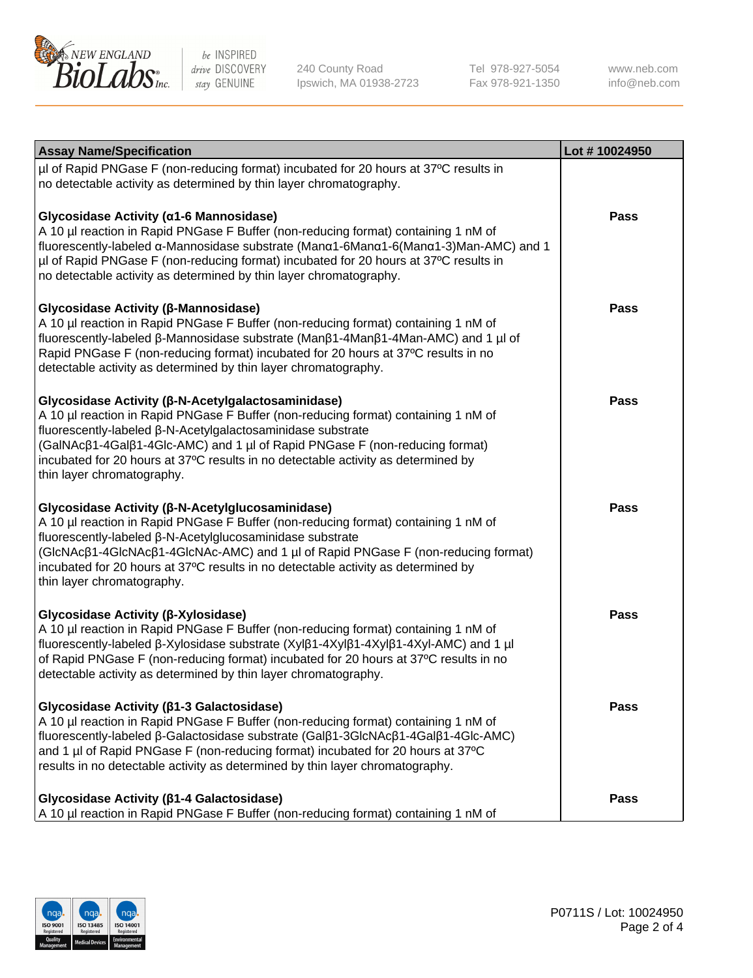

240 County Road Ipswich, MA 01938-2723 Tel 978-927-5054 Fax 978-921-1350 www.neb.com info@neb.com

| <b>Assay Name/Specification</b>                                                                                                                                                                                                                                                                                                                                                                             | Lot #10024950 |
|-------------------------------------------------------------------------------------------------------------------------------------------------------------------------------------------------------------------------------------------------------------------------------------------------------------------------------------------------------------------------------------------------------------|---------------|
| µl of Rapid PNGase F (non-reducing format) incubated for 20 hours at 37°C results in<br>no detectable activity as determined by thin layer chromatography.                                                                                                                                                                                                                                                  |               |
| Glycosidase Activity (α1-6 Mannosidase)<br>A 10 µl reaction in Rapid PNGase F Buffer (non-reducing format) containing 1 nM of<br>fluorescently-labeled α-Mannosidase substrate (Manα1-6Manα1-6(Manα1-3)Man-AMC) and 1<br>µl of Rapid PNGase F (non-reducing format) incubated for 20 hours at 37°C results in<br>no detectable activity as determined by thin layer chromatography.                         | Pass          |
| Glycosidase Activity (β-Mannosidase)<br>A 10 µl reaction in Rapid PNGase F Buffer (non-reducing format) containing 1 nM of<br>fluorescently-labeled β-Mannosidase substrate (Manβ1-4Manβ1-4Man-AMC) and 1 µl of<br>Rapid PNGase F (non-reducing format) incubated for 20 hours at 37°C results in no<br>detectable activity as determined by thin layer chromatography.                                     | Pass          |
| Glycosidase Activity (β-N-Acetylgalactosaminidase)<br>A 10 µl reaction in Rapid PNGase F Buffer (non-reducing format) containing 1 nM of<br>fluorescently-labeled β-N-Acetylgalactosaminidase substrate<br>(GalNAcβ1-4Galβ1-4Glc-AMC) and 1 µl of Rapid PNGase F (non-reducing format)<br>incubated for 20 hours at 37°C results in no detectable activity as determined by<br>thin layer chromatography.   | Pass          |
| Glycosidase Activity (β-N-Acetylglucosaminidase)<br>A 10 µl reaction in Rapid PNGase F Buffer (non-reducing format) containing 1 nM of<br>fluorescently-labeled β-N-Acetylglucosaminidase substrate<br>(GlcNAcβ1-4GlcNAcβ1-4GlcNAc-AMC) and 1 µl of Rapid PNGase F (non-reducing format)<br>incubated for 20 hours at 37°C results in no detectable activity as determined by<br>thin layer chromatography. | <b>Pass</b>   |
| Glycosidase Activity (β-Xylosidase)<br>A 10 µl reaction in Rapid PNGase F Buffer (non-reducing format) containing 1 nM of<br>fluorescently-labeled β-Xylosidase substrate (Xylβ1-4Xylβ1-4Xylβ1-4Xyl-AMC) and 1 µl<br>of Rapid PNGase F (non-reducing format) incubated for 20 hours at 37°C results in no<br>detectable activity as determined by thin layer chromatography.                                | <b>Pass</b>   |
| Glycosidase Activity (β1-3 Galactosidase)<br>A 10 µl reaction in Rapid PNGase F Buffer (non-reducing format) containing 1 nM of<br>fluorescently-labeled β-Galactosidase substrate (Galβ1-3GlcNAcβ1-4Galβ1-4Glc-AMC)<br>and 1 µl of Rapid PNGase F (non-reducing format) incubated for 20 hours at 37°C<br>results in no detectable activity as determined by thin layer chromatography.                    | Pass          |
| Glycosidase Activity ( $\beta$ 1-4 Galactosidase)<br>A 10 µl reaction in Rapid PNGase F Buffer (non-reducing format) containing 1 nM of                                                                                                                                                                                                                                                                     | Pass          |

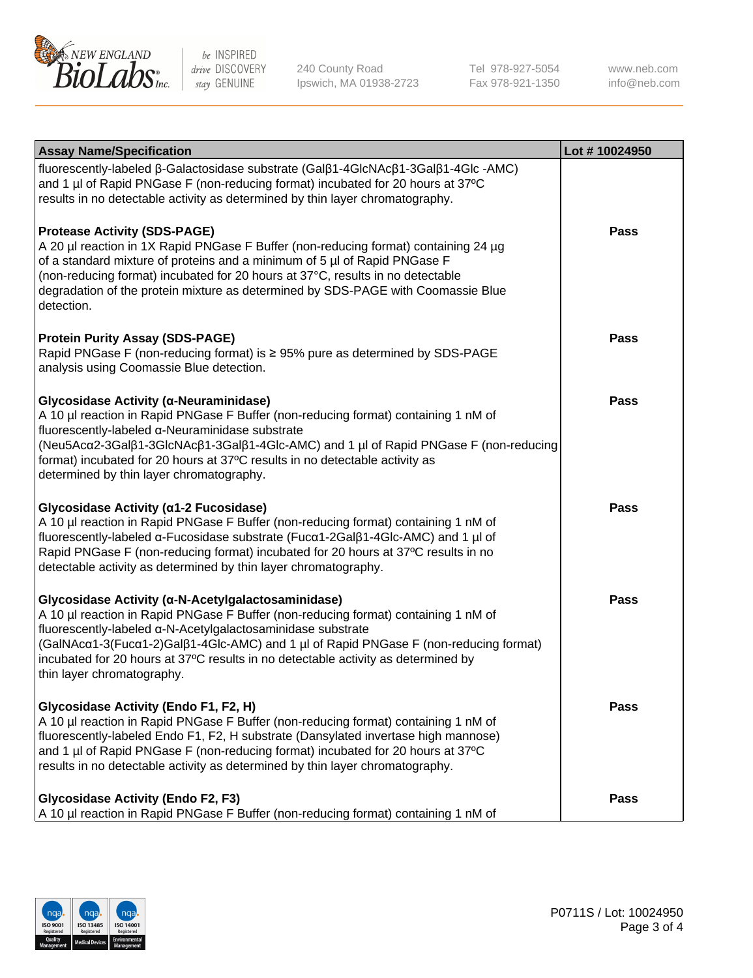

240 County Road Ipswich, MA 01938-2723

Tel 978-927-5054 Fax 978-921-1350

www.neb.com info@neb.com

| <b>Assay Name/Specification</b>                                                                                                                                                                                                                                                                                                                                                                                    | Lot #10024950 |
|--------------------------------------------------------------------------------------------------------------------------------------------------------------------------------------------------------------------------------------------------------------------------------------------------------------------------------------------------------------------------------------------------------------------|---------------|
| fluorescently-labeled β-Galactosidase substrate (Galβ1-4GlcNAcβ1-3Galβ1-4Glc -AMC)<br>and 1 µl of Rapid PNGase F (non-reducing format) incubated for 20 hours at 37°C<br>results in no detectable activity as determined by thin layer chromatography.                                                                                                                                                             |               |
| <b>Protease Activity (SDS-PAGE)</b><br>A 20 µl reaction in 1X Rapid PNGase F Buffer (non-reducing format) containing 24 µg<br>of a standard mixture of proteins and a minimum of 5 µl of Rapid PNGase F<br>(non-reducing format) incubated for 20 hours at 37°C, results in no detectable<br>degradation of the protein mixture as determined by SDS-PAGE with Coomassie Blue<br>detection.                        | Pass          |
| <b>Protein Purity Assay (SDS-PAGE)</b><br>Rapid PNGase F (non-reducing format) is ≥ 95% pure as determined by SDS-PAGE<br>analysis using Coomassie Blue detection.                                                                                                                                                                                                                                                 | Pass          |
| Glycosidase Activity (α-Neuraminidase)<br>A 10 µl reaction in Rapid PNGase F Buffer (non-reducing format) containing 1 nM of<br>fluorescently-labeled α-Neuraminidase substrate<br>(Neu5Acα2-3Galβ1-3GlcNAcβ1-3Galβ1-4Glc-AMC) and 1 µl of Rapid PNGase F (non-reducing<br>format) incubated for 20 hours at 37°C results in no detectable activity as<br>determined by thin layer chromatography.                 | Pass          |
| Glycosidase Activity (α1-2 Fucosidase)<br>A 10 µl reaction in Rapid PNGase F Buffer (non-reducing format) containing 1 nM of<br>fluorescently-labeled α-Fucosidase substrate (Fucα1-2Galβ1-4Glc-AMC) and 1 µl of<br>Rapid PNGase F (non-reducing format) incubated for 20 hours at 37°C results in no<br>detectable activity as determined by thin layer chromatography.                                           | <b>Pass</b>   |
| Glycosidase Activity (α-N-Acetylgalactosaminidase)<br>A 10 µl reaction in Rapid PNGase F Buffer (non-reducing format) containing 1 nM of<br>fluorescently-labeled α-N-Acetylgalactosaminidase substrate<br>(GalNAcα1-3(Fucα1-2)Galß1-4Glc-AMC) and 1 µl of Rapid PNGase F (non-reducing format)<br>incubated for 20 hours at 37°C results in no detectable activity as determined by<br>thin layer chromatography. | <b>Pass</b>   |
| Glycosidase Activity (Endo F1, F2, H)<br>A 10 µl reaction in Rapid PNGase F Buffer (non-reducing format) containing 1 nM of<br>fluorescently-labeled Endo F1, F2, H substrate (Dansylated invertase high mannose)<br>and 1 µl of Rapid PNGase F (non-reducing format) incubated for 20 hours at 37°C<br>results in no detectable activity as determined by thin layer chromatography.                              | Pass          |
| <b>Glycosidase Activity (Endo F2, F3)</b><br>A 10 µl reaction in Rapid PNGase F Buffer (non-reducing format) containing 1 nM of                                                                                                                                                                                                                                                                                    | Pass          |